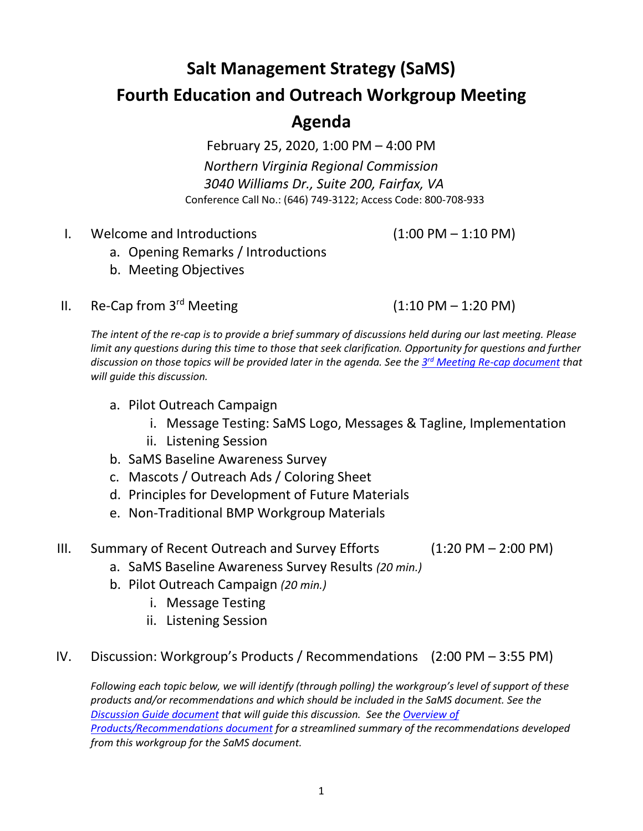# **Salt Management Strategy (SaMS)**

### **Fourth Education and Outreach Workgroup Meeting**

## **Agenda**

February 25, 2020, 1:00 PM – 4:00 PM *Northern Virginia Regional Commission 3040 Williams Dr., Suite 200, Fairfax, VA* Conference Call No.: (646) 749-3122; Access Code: 800-708-933

I. Welcome and Introductions (1:00 PM – 1:10 PM)

- a. Opening Remarks / Introductions
- b. Meeting Objectives
- II. Re-Cap from  $3^{rd}$  Meeting (1:10 PM 1:20 PM)

*The intent of the re-cap is to provide a brief summary of discussions held during our last meeting. Please limit any questions during this time to those that seek clarification. Opportunity for questions and further discussion on those topics will be provided later in the agenda. See the 3 rd [Meeting Re-cap document](https://www.deq.virginia.gov/Portals/0/DEQ/Water/TMDL/SaMS/MeetingMaterials/EandOwg/Meeting4/SaMS_EOWG_Mtg_ReCap_of_3rd%20Mtg_2020225.pdf) that will guide this discussion.*

- a. Pilot Outreach Campaign
	- i. Message Testing: SaMS Logo, Messages & Tagline, Implementation
	- ii. Listening Session
- b. SaMS Baseline Awareness Survey
- c. Mascots / Outreach Ads / Coloring Sheet
- d. Principles for Development of Future Materials
- e. Non-Traditional BMP Workgroup Materials

#### III. Summary of Recent Outreach and Survey Efforts (1:20 PM – 2:00 PM)

- a. SaMS Baseline Awareness Survey Results *(20 min.)*
- b. Pilot Outreach Campaign *(20 min.)*
	- i. Message Testing
	- ii. Listening Session

#### IV. Discussion: Workgroup's Products / Recommendations (2:00 PM – 3:55 PM)

*Following each topic below, we will identify (through polling) the workgroup's level of support of these products and/or recommendations and which should be included in the SaMS document. See the [Discussion Guide](https://www.deq.virginia.gov/Portals/0/DEQ/Water/TMDL/SaMS/MeetingMaterials/EandOwg/Meeting4/SaMS_EOWG_4th_Mtg_Discussion_Guide_2020225.pdf) document that will guide this discussion. See th[e Overview of](a.%09https:/www.deq.virginia.gov/Portals/0/DEQ/Water/TMDL/SaMS/MeetingMaterials/EandOwg/Meeting4/SaMS_EOWG_4th_Mtg_Draft_Recommendations_2020225.pdf) [Products/Recommendations](a.%09https:/www.deq.virginia.gov/Portals/0/DEQ/Water/TMDL/SaMS/MeetingMaterials/EandOwg/Meeting4/SaMS_EOWG_4th_Mtg_Draft_Recommendations_2020225.pdf) document for a streamlined summary of the recommendations developed from this workgroup for the SaMS document.*